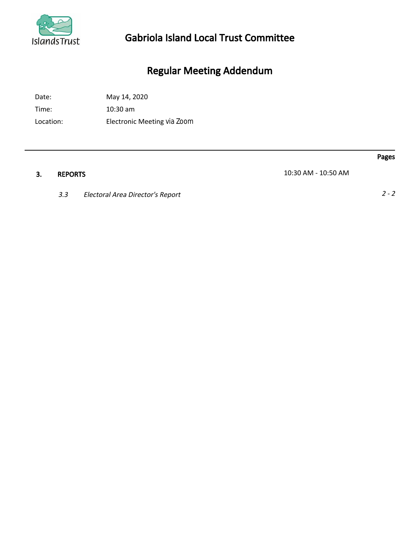

## Gabriola Island Local Trust Committee

# Regular Meeting Addendum

Date: May 14, 2020

Time: 10:30 am

Location: Electronic Meeting via Zoom

3. REPORTS 10:30 AM - 10:50 AM

3.3 Electoral Area Director's Report 2 - 2

Pages